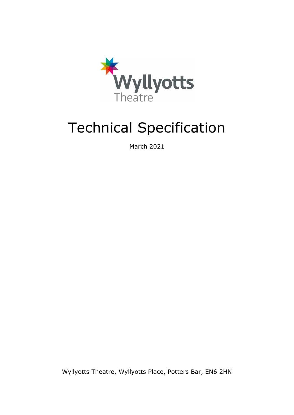

## Technical Specification

March 2021

Wyllyotts Theatre, Wyllyotts Place, Potters Bar, EN6 2HN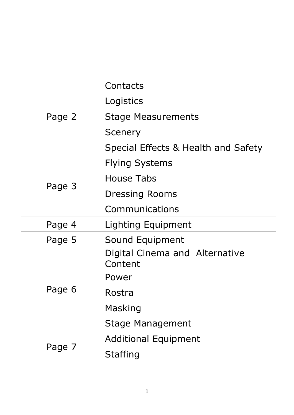|        | Contacts                                  |
|--------|-------------------------------------------|
| Page 2 | Logistics                                 |
|        | Stage Measurements                        |
|        | Scenery                                   |
|        | Special Effects & Health and Safety       |
| Page 3 | <b>Flying Systems</b>                     |
|        | House Tabs                                |
|        | <b>Dressing Rooms</b>                     |
|        | Communications                            |
| Page 4 | Lighting Equipment                        |
| Page 5 | Sound Equipment                           |
| Page 6 | Digital Cinema and Alternative<br>Content |
|        | Power                                     |
|        | Rostra                                    |
|        | Masking                                   |
|        | Stage Management                          |
|        | <b>Additional Equipment</b>               |
| Page 7 | <b>Staffing</b>                           |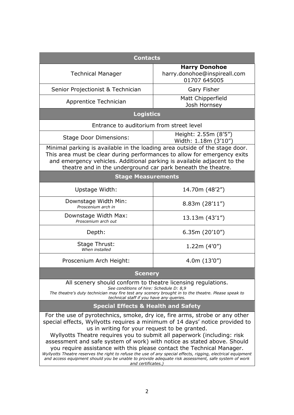| <b>Contacts</b>                                                                                                                                                                                                                                                                                                                                                                                                                                                                                                                                                                                                                                                                          |                                                                      |  |  |  |
|------------------------------------------------------------------------------------------------------------------------------------------------------------------------------------------------------------------------------------------------------------------------------------------------------------------------------------------------------------------------------------------------------------------------------------------------------------------------------------------------------------------------------------------------------------------------------------------------------------------------------------------------------------------------------------------|----------------------------------------------------------------------|--|--|--|
| <b>Technical Manager</b>                                                                                                                                                                                                                                                                                                                                                                                                                                                                                                                                                                                                                                                                 | <b>Harry Donohoe</b><br>harry.donohoe@inspireall.com<br>01707 645005 |  |  |  |
| Senior Projectionist & Technician                                                                                                                                                                                                                                                                                                                                                                                                                                                                                                                                                                                                                                                        | Gary Fisher                                                          |  |  |  |
| Apprentice Technician                                                                                                                                                                                                                                                                                                                                                                                                                                                                                                                                                                                                                                                                    | Matt Chipperfield<br>Josh Hornsey                                    |  |  |  |
| <b>Logistics</b>                                                                                                                                                                                                                                                                                                                                                                                                                                                                                                                                                                                                                                                                         |                                                                      |  |  |  |
| Entrance to auditorium from street level                                                                                                                                                                                                                                                                                                                                                                                                                                                                                                                                                                                                                                                 |                                                                      |  |  |  |
| <b>Stage Door Dimensions:</b>                                                                                                                                                                                                                                                                                                                                                                                                                                                                                                                                                                                                                                                            | Height: 2.55m (8'5")<br>Width: 1.18m (3'10")                         |  |  |  |
| Minimal parking is available in the loading area outside of the stage door.<br>This area must be clear during performances to allow for emergency exits<br>and emergency vehicles. Additional parking is available adjacent to the<br>theatre and in the underground car park beneath the theatre.                                                                                                                                                                                                                                                                                                                                                                                       |                                                                      |  |  |  |
| <b>Stage Measurements</b>                                                                                                                                                                                                                                                                                                                                                                                                                                                                                                                                                                                                                                                                |                                                                      |  |  |  |
| Upstage Width:                                                                                                                                                                                                                                                                                                                                                                                                                                                                                                                                                                                                                                                                           | 14.70m (48'2")                                                       |  |  |  |
| Downstage Width Min:<br>Proscenium arch in                                                                                                                                                                                                                                                                                                                                                                                                                                                                                                                                                                                                                                               | 8.83m(28'11'')                                                       |  |  |  |
| Downstage Width Max:<br>Proscenium arch out                                                                                                                                                                                                                                                                                                                                                                                                                                                                                                                                                                                                                                              | 13.13m(43'1'')                                                       |  |  |  |
| Depth:                                                                                                                                                                                                                                                                                                                                                                                                                                                                                                                                                                                                                                                                                   | 6.35m(20'10'')                                                       |  |  |  |
| Stage Thrust:<br>When installed                                                                                                                                                                                                                                                                                                                                                                                                                                                                                                                                                                                                                                                          | 1.22m(4'0'')                                                         |  |  |  |
| Proscenium Arch Height:                                                                                                                                                                                                                                                                                                                                                                                                                                                                                                                                                                                                                                                                  | 4.0m(13'0'')                                                         |  |  |  |
| <b>Scenery</b>                                                                                                                                                                                                                                                                                                                                                                                                                                                                                                                                                                                                                                                                           |                                                                      |  |  |  |
| All scenery should conform to theatre licensing regulations.<br>See conditions of hire: Schedule D: 8,9<br>The theatre's duty technician may fire test any scenery brought in to the theatre. Please speak to<br>technical staff if you have any queries.                                                                                                                                                                                                                                                                                                                                                                                                                                |                                                                      |  |  |  |
| <b>Special Effects &amp; Health and Safety</b>                                                                                                                                                                                                                                                                                                                                                                                                                                                                                                                                                                                                                                           |                                                                      |  |  |  |
| For the use of pyrotechnics, smoke, dry ice, fire arms, strobe or any other<br>special effects, Wyllyotts requires a minimum of 14 days' notice provided to<br>us in writing for your request to be granted.<br>Wyllyotts Theatre requires you to submit all paperwork (including: risk<br>assessment and safe system of work) with notice as stated above. Should<br>you require assistance with this please contact the Technical Manager.<br>Wyllyotts Theatre reserves the right to refuse the use of any special effects, rigging, electrical equipment<br>and access equipment should you be unable to provide adequate risk assessment, safe system of work<br>and certificates.) |                                                                      |  |  |  |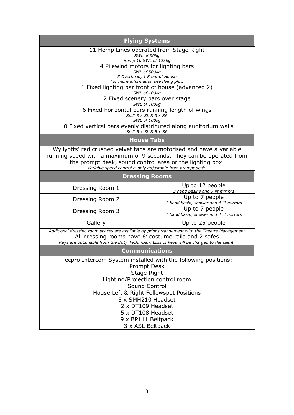| <b>Flying Systems</b>                                                                                                                                                                                                                                                   |                                                          |  |  |
|-------------------------------------------------------------------------------------------------------------------------------------------------------------------------------------------------------------------------------------------------------------------------|----------------------------------------------------------|--|--|
| 11 Hemp Lines operated from Stage Right                                                                                                                                                                                                                                 |                                                          |  |  |
|                                                                                                                                                                                                                                                                         | SWL of 90kg<br>Hemp 10 SWL of 125kg                      |  |  |
| 4 Pilewind motors for lighting bars                                                                                                                                                                                                                                     |                                                          |  |  |
| SWL of 500kg<br>3 Overhead, 1 Front of House                                                                                                                                                                                                                            |                                                          |  |  |
| For more information see flying plot.                                                                                                                                                                                                                                   |                                                          |  |  |
| 1 Fixed lighting bar front of house (advanced 2)<br>SWL of 100kg                                                                                                                                                                                                        |                                                          |  |  |
| 2 Fixed scenery bars over stage                                                                                                                                                                                                                                         |                                                          |  |  |
| SWL of 100kg<br>6 Fixed horizontal bars running length of wings                                                                                                                                                                                                         |                                                          |  |  |
| Split $3 \times SL \& 3 \times SR$                                                                                                                                                                                                                                      |                                                          |  |  |
| SWL of 100kg<br>10 Fixed vertical bars evenly distributed along auditorium walls                                                                                                                                                                                        |                                                          |  |  |
| Split 5 x SL & 5 x SR                                                                                                                                                                                                                                                   |                                                          |  |  |
| <b>House Tabs</b>                                                                                                                                                                                                                                                       |                                                          |  |  |
| Wyllyotts' red crushed velvet tabs are motorised and have a variable<br>running speed with a maximum of 9 seconds. They can be operated from<br>the prompt desk, sound control area or the lighting box.<br>Variable speed control is only adjustable from prompt desk. |                                                          |  |  |
| <b>Dressing Rooms</b>                                                                                                                                                                                                                                                   |                                                          |  |  |
| Dressing Room 1                                                                                                                                                                                                                                                         | Up to 12 people<br>3 hand basins and 7 lit mirrors       |  |  |
| Dressing Room 2                                                                                                                                                                                                                                                         | Up to 7 people<br>1 hand basin, shower and 4 lit mirrors |  |  |
| Dressing Room 3                                                                                                                                                                                                                                                         | Up to 7 people<br>1 hand basin, shower and 4 lit mirrors |  |  |
| Gallery                                                                                                                                                                                                                                                                 | Up to 25 people                                          |  |  |
| Additional dressing room spaces are available by prior arrangement with the Theatre Management<br>All dressing rooms have 6' costume rails and 2 safes<br>Keys are obtainable from the Duty Technician. Loss of keys will be charged to the client.                     |                                                          |  |  |
| <b>Communications</b>                                                                                                                                                                                                                                                   |                                                          |  |  |
| Tecpro Intercom System installed with the following positions:                                                                                                                                                                                                          |                                                          |  |  |
| Prompt Desk                                                                                                                                                                                                                                                             |                                                          |  |  |
| Stage Right<br>Lighting/Projection control room                                                                                                                                                                                                                         |                                                          |  |  |
| Sound Control                                                                                                                                                                                                                                                           |                                                          |  |  |
| House Left & Right Followspot Positions                                                                                                                                                                                                                                 |                                                          |  |  |
| 5 x SMH210 Headset                                                                                                                                                                                                                                                      |                                                          |  |  |
| 2 x DT109 Headset                                                                                                                                                                                                                                                       |                                                          |  |  |
| 5 x DT108 Headset                                                                                                                                                                                                                                                       |                                                          |  |  |
| 9 x BP111 Beltpack<br>3 x ASL Beltpack                                                                                                                                                                                                                                  |                                                          |  |  |
|                                                                                                                                                                                                                                                                         |                                                          |  |  |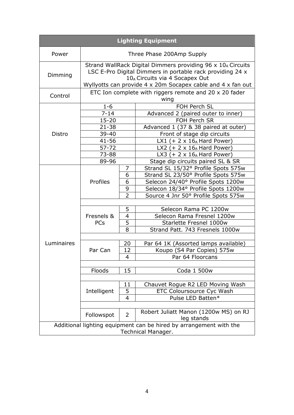| <b>Lighting Equipment</b>                                                                |                                                                                                                                                                                                                                                   |                               |                                                                                                                                                        |  |  |  |
|------------------------------------------------------------------------------------------|---------------------------------------------------------------------------------------------------------------------------------------------------------------------------------------------------------------------------------------------------|-------------------------------|--------------------------------------------------------------------------------------------------------------------------------------------------------|--|--|--|
| Power                                                                                    | Three Phase 200Amp Supply                                                                                                                                                                                                                         |                               |                                                                                                                                                        |  |  |  |
| Dimming                                                                                  | Strand WallRack Digital Dimmers providing 96 x 10 <sub>A</sub> Circuits<br>LSC E-Pro Digital Dimmers in portable rack providing 24 x<br>10 <sub>A</sub> Circuits via 4 Socapex Out<br>Wyllyotts can provide 4 x 20m Socapex cable and 4 x fan out |                               |                                                                                                                                                        |  |  |  |
| Control                                                                                  | ETC Ion complete with riggers remote and 20 $\times$ 20 fader<br>wing                                                                                                                                                                             |                               |                                                                                                                                                        |  |  |  |
|                                                                                          | $1 - 6$<br>$7 - 14$<br>$15 - 20$                                                                                                                                                                                                                  |                               | FOH Perch SL<br>Advanced 2 (paired outer to inner)<br>FOH Perch SR                                                                                     |  |  |  |
| Distro                                                                                   | $21 - 38$<br>$39 - 40$                                                                                                                                                                                                                            |                               | Advanced 1 (37 & 38 paired at outer)<br>Front of stage dip circuits<br>LX1 (+ 2 $\times$ 16 <sub>A</sub> Hard Power)                                   |  |  |  |
|                                                                                          | $41 - 56$<br>$57 - 72$<br>73-88                                                                                                                                                                                                                   |                               | LX2 (+ $2 \times 16_A$ Hard Power)<br>LX3 (+ $2 \times 16_A$ Hard Power)                                                                               |  |  |  |
|                                                                                          | 89-96<br>7                                                                                                                                                                                                                                        |                               | Stage dip circuits paired SL & SR<br>Strand SL 15/32° Profile Spots 575w                                                                               |  |  |  |
|                                                                                          | Profiles                                                                                                                                                                                                                                          | 6<br>6<br>9<br>$\overline{2}$ | Strand SL 23/50° Profile Spots 575w<br>Selecon 24/40° Profile Spots 1200w<br>Selecon 18/34° Profile Spots 1200w<br>Source 4 Jnr 50° Profile Spots 575w |  |  |  |
|                                                                                          |                                                                                                                                                                                                                                                   |                               |                                                                                                                                                        |  |  |  |
| Luminaires                                                                               | Fresnels &<br><b>PCs</b>                                                                                                                                                                                                                          | 5<br>4<br>5<br>8              | Selecon Rama PC 1200w<br>Selecon Rama Fresnel 1200w<br>Starlette Fresnel 1000w<br>Strand Patt. 743 Fresnels 1000w                                      |  |  |  |
|                                                                                          | Par Can                                                                                                                                                                                                                                           | 20<br>12                      | Par 64 1K (Assorted lamps available)<br>Koupo (S4 Par Copies) 575w                                                                                     |  |  |  |
|                                                                                          |                                                                                                                                                                                                                                                   | 4                             | Par 64 Floorcans                                                                                                                                       |  |  |  |
|                                                                                          | Floods                                                                                                                                                                                                                                            | 15                            | Coda 1 500w                                                                                                                                            |  |  |  |
|                                                                                          | 11<br>5<br>Intelligent<br>4                                                                                                                                                                                                                       |                               | Chauvet Rogue R2 LED Moving Wash<br><b>ETC Coloursource Cyc Wash</b><br>Pulse LED Batten*                                                              |  |  |  |
|                                                                                          | Followspot                                                                                                                                                                                                                                        | $\overline{2}$                | Robert Juliatt Manon (1200w MS) on RJ<br>leg stands                                                                                                    |  |  |  |
| Additional lighting equipment can be hired by arrangement with the<br>Technical Manager. |                                                                                                                                                                                                                                                   |                               |                                                                                                                                                        |  |  |  |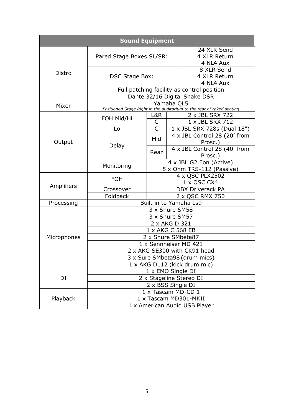| <b>Sound Equipment</b> |                                                                                     |                                                      |  |                                          |  |
|------------------------|-------------------------------------------------------------------------------------|------------------------------------------------------|--|------------------------------------------|--|
|                        | Pared Stage Boxes SL/SR:                                                            |                                                      |  | 24 XLR Send<br>4 XLR Return<br>4 NL4 Aux |  |
| Distro                 | DSC Stage Box:                                                                      |                                                      |  | 8 XLR Send<br>4 XLR Return<br>4 NL4 Aux  |  |
|                        | Full patching facility as control position                                          |                                                      |  |                                          |  |
|                        | Dante 32/16 Digital Snake DSR                                                       |                                                      |  |                                          |  |
| Mixer                  | Yamaha QL5<br>Positioned Stage Right in the auditorium to the rear of raked seating |                                                      |  |                                          |  |
|                        | FOH Mid/Hi                                                                          | L&R                                                  |  | 2 x JBL SRX 722                          |  |
|                        |                                                                                     | C                                                    |  | 1 x JBL SRX 712                          |  |
|                        | Lo                                                                                  | C                                                    |  | 1 x JBL SRX 728s (Dual 18")              |  |
| Output                 |                                                                                     | Mid                                                  |  | 4 x JBL Control 28 (20' from<br>Prosc.)  |  |
|                        | Delay                                                                               | Rear                                                 |  | 4 x JBL Control 28 (40' from<br>Prosc.)  |  |
|                        | Monitoring                                                                          | 4 x JBL G2 Eon (Active)<br>5 x Ohm TRS-112 (Passive) |  |                                          |  |
|                        | <b>FOH</b>                                                                          | 4 x QSC PLX2502<br>1 x QSC CX4                       |  |                                          |  |
| Amplifiers             | Crossover                                                                           | <b>DBX Driverack PA</b>                              |  |                                          |  |
|                        | Foldback                                                                            | 2 x QSC RMX 750                                      |  |                                          |  |
| Processing             | Built in to Yamaha Ls9                                                              |                                                      |  |                                          |  |
|                        | 3 x Shure SM58                                                                      |                                                      |  |                                          |  |
|                        | 3 x Shure SM57                                                                      |                                                      |  |                                          |  |
| Microphones            | 2 x AKG D 321                                                                       |                                                      |  |                                          |  |
|                        | 1 x AKG C 568 EB                                                                    |                                                      |  |                                          |  |
|                        | 2 x Shure SMbeta87                                                                  |                                                      |  |                                          |  |
|                        | 1 x Sennheiser MD 421                                                               |                                                      |  |                                          |  |
|                        | 2 x AKG SE300 with CK91 head<br>3 x Sure SMbeta98 (drum mics)                       |                                                      |  |                                          |  |
|                        | 1 x AKG D112 (kick drum mic)                                                        |                                                      |  |                                          |  |
|                        | 1 x EMO Single DI                                                                   |                                                      |  |                                          |  |
| DI                     | 2 x Stageline Stereo DI                                                             |                                                      |  |                                          |  |
|                        | 2 x BSS Single DI                                                                   |                                                      |  |                                          |  |
|                        |                                                                                     | 1 x Tascam MD-CD 1                                   |  |                                          |  |
| Playback               | 1 x Tascam MD301-MKII                                                               |                                                      |  |                                          |  |
|                        | 1 x American Audio USB Player                                                       |                                                      |  |                                          |  |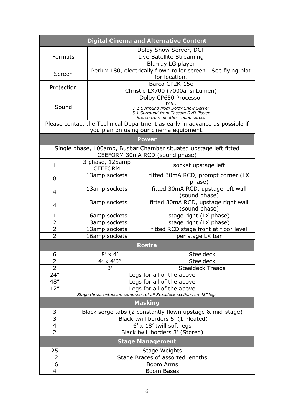| <b>Digital Cinema and Alternative Content</b>                          |                                                           |                                              |                                                                            |  |  |  |
|------------------------------------------------------------------------|-----------------------------------------------------------|----------------------------------------------|----------------------------------------------------------------------------|--|--|--|
| Dolby Show Server, DCP                                                 |                                                           |                                              |                                                                            |  |  |  |
| Formats                                                                |                                                           | Live Satellite Streaming                     |                                                                            |  |  |  |
|                                                                        |                                                           |                                              | Blu-ray LG player                                                          |  |  |  |
| Screen                                                                 |                                                           |                                              | Perlux 180, electrically flown roller screen. See flying plot              |  |  |  |
|                                                                        |                                                           |                                              | for location.                                                              |  |  |  |
| Projection                                                             |                                                           |                                              | Barco CP2K-15c                                                             |  |  |  |
|                                                                        |                                                           |                                              | Christie LX700 (7000ansi Lumen)                                            |  |  |  |
|                                                                        |                                                           | Dolby CP650 Processor                        |                                                                            |  |  |  |
| Sound                                                                  |                                                           | With:<br>7.1 Surround from Dolby Show Server |                                                                            |  |  |  |
|                                                                        |                                                           | 5.1 Surround from Tascam DVD Player          |                                                                            |  |  |  |
|                                                                        |                                                           |                                              | Stereo from all other sound sorces                                         |  |  |  |
|                                                                        |                                                           |                                              | Please contact the Technical Department as early in advance as possible if |  |  |  |
|                                                                        |                                                           |                                              | you plan on using our cinema equipment.                                    |  |  |  |
|                                                                        |                                                           |                                              | <b>Power</b>                                                               |  |  |  |
|                                                                        |                                                           |                                              | Single phase, 100amp, Busbar Chamber situated upstage left fitted          |  |  |  |
|                                                                        |                                                           |                                              | CEEFORM 30mA RCD (sound phase)                                             |  |  |  |
| $\mathbf{1}$                                                           |                                                           | 3 phase, 125amp                              | socket upstage left                                                        |  |  |  |
|                                                                        |                                                           | <b>CEEFORM</b>                               |                                                                            |  |  |  |
| 8                                                                      |                                                           | 13amp sockets                                | fitted 30mA RCD, prompt corner (LX                                         |  |  |  |
|                                                                        |                                                           |                                              | phase)                                                                     |  |  |  |
| $\overline{4}$                                                         |                                                           | 13amp sockets                                | fitted 30mA RCD, upstage left wall                                         |  |  |  |
|                                                                        |                                                           |                                              | (sound phase)                                                              |  |  |  |
| $\overline{4}$                                                         |                                                           | 13amp sockets                                | fitted 30mA RCD, upstage right wall                                        |  |  |  |
| $\mathbf{1}$                                                           |                                                           |                                              | (sound phase)                                                              |  |  |  |
| 2                                                                      |                                                           | 16amp sockets                                | stage right (LX phase)                                                     |  |  |  |
| $\overline{2}$                                                         |                                                           | 13amp sockets<br>13amp sockets               | stage right (LX phase)                                                     |  |  |  |
| 2                                                                      |                                                           |                                              | fitted RCD stage front at floor level                                      |  |  |  |
| 16amp sockets<br>per stage LX bar                                      |                                                           |                                              |                                                                            |  |  |  |
|                                                                        |                                                           |                                              | <b>Rostra</b>                                                              |  |  |  |
| 6                                                                      |                                                           | $8' \times 4'$                               | <b>Steeldeck</b>                                                           |  |  |  |
| 2                                                                      |                                                           | $4' \times 4'6''$                            | Steeldeck                                                                  |  |  |  |
| $\overline{2}$                                                         |                                                           | $\overline{3'}$<br><b>Steeldeck Treads</b>   |                                                                            |  |  |  |
| 24''                                                                   |                                                           | Legs for all of the above                    |                                                                            |  |  |  |
| 48"                                                                    | Legs for all of the above                                 |                                              |                                                                            |  |  |  |
| 12"<br>Legs for all of the above                                       |                                                           |                                              |                                                                            |  |  |  |
| Stage thrust extension comprises of all Steeldeck sections on 48" legs |                                                           |                                              |                                                                            |  |  |  |
| <b>Masking</b>                                                         |                                                           |                                              |                                                                            |  |  |  |
| 3                                                                      | Black serge tabs (2 constantly flown upstage & mid-stage) |                                              |                                                                            |  |  |  |
| 3                                                                      |                                                           | Black twill borders 5' (1 Pleated)           |                                                                            |  |  |  |
| 4                                                                      |                                                           | $6' \times 18'$ twill soft legs              |                                                                            |  |  |  |
| $\overline{2}$                                                         | Black twill borders 3' (Stored)                           |                                              |                                                                            |  |  |  |
|                                                                        | <b>Stage Management</b>                                   |                                              |                                                                            |  |  |  |
| 25                                                                     |                                                           |                                              | <b>Stage Weights</b>                                                       |  |  |  |
| 12                                                                     |                                                           | Stage Braces of assorted lengths             |                                                                            |  |  |  |
| 16                                                                     |                                                           | <b>Boom Arms</b>                             |                                                                            |  |  |  |
| 4                                                                      |                                                           | Boom Bases                                   |                                                                            |  |  |  |
|                                                                        |                                                           |                                              |                                                                            |  |  |  |